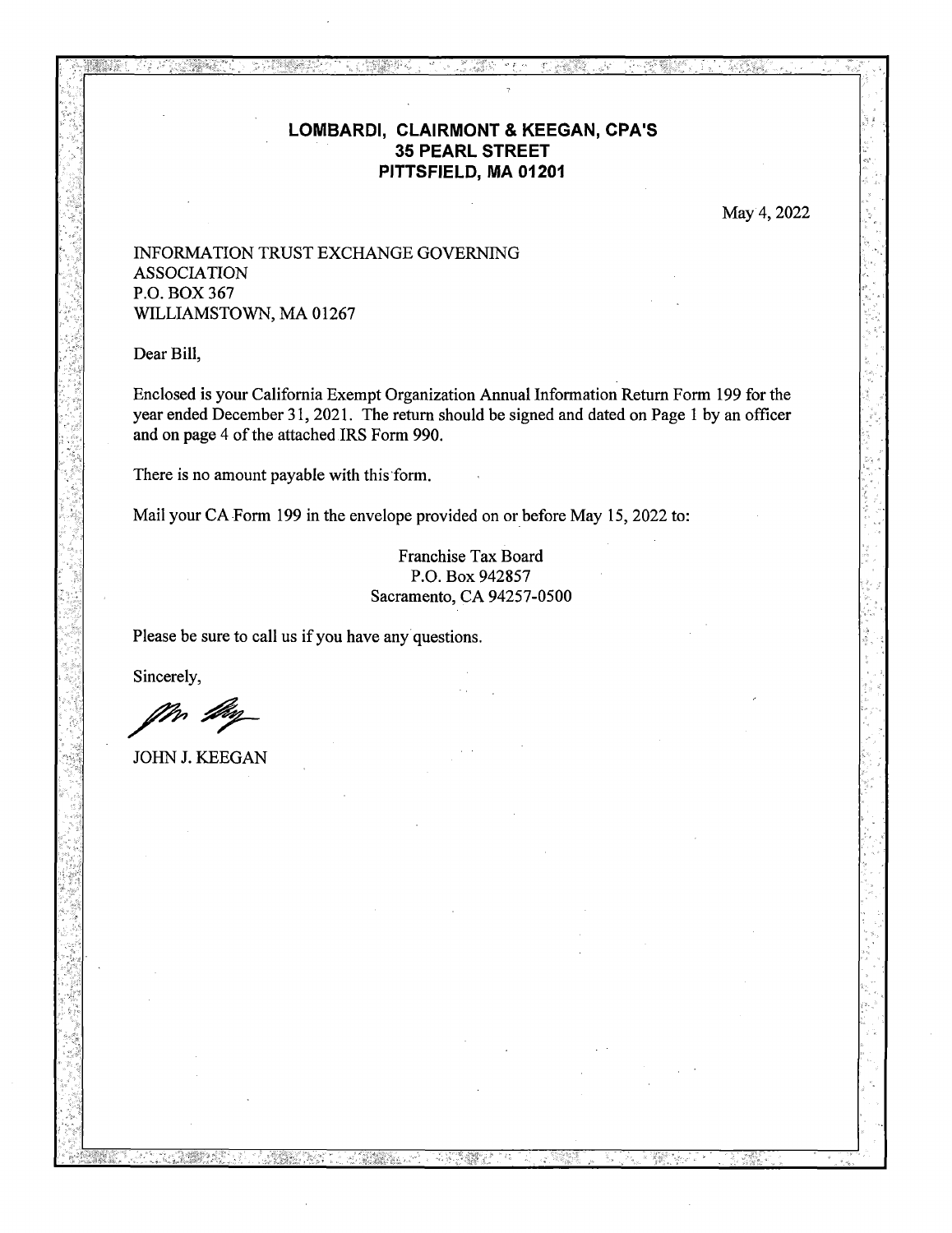## **LOMBARDI, CLAIRMONT & KEEGAN, CPA'S 35 PEARL STREET PITTSFIELD, MA 01201**

May 4, 2022

## INFORMATION TRUST EXCHANGE GOVERNING ASSOCIATION P.O. BOX 367 WILLIAMSTOWN, MA 01267

Dear Bill,

Enclosed is your California Exempt Organization Annual Information Return Form 199 for the year ended December 31,2021. The return should be signed and dated on Page 1 by an officer and on page 4 of the attached IRS Form 990.

There is no amount payable with this form.

Mail your CA Form 199 in the envelope provided on or before May 15, 2022 to:

Franchise Tax Board P.O. Box 942857 Sacramento, CA 94257-0500

Please be sure to call us if you have any questions.

Sincerely,

JOHN J. KEEGAN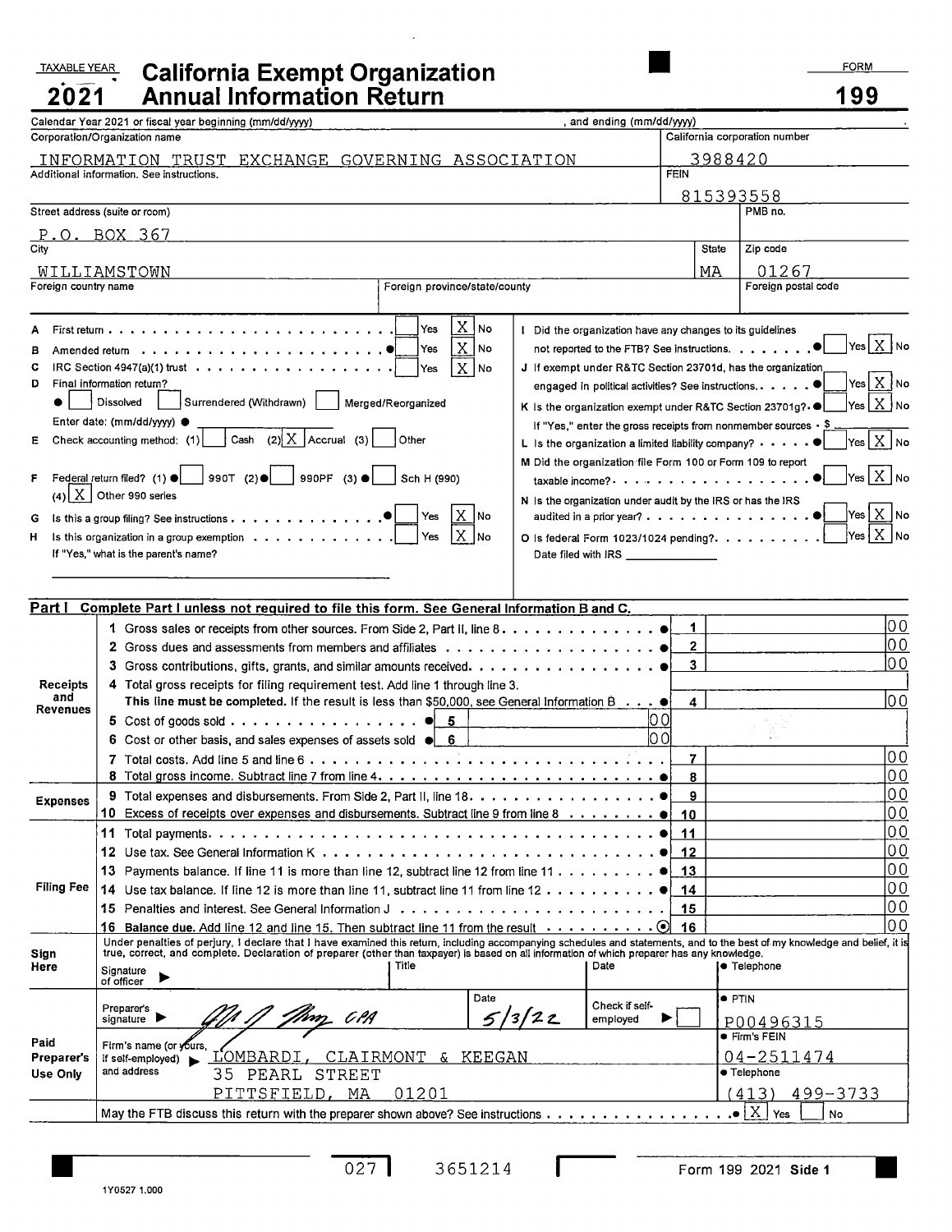## TAXABLE YEAR **California Exempt Organization Annual Information Returi**

| 2021                          | <b>Annual Information Return</b>                                                                                                                                                                                                                                                                             |                                                                                                             | 199                                                                              |  |  |
|-------------------------------|--------------------------------------------------------------------------------------------------------------------------------------------------------------------------------------------------------------------------------------------------------------------------------------------------------------|-------------------------------------------------------------------------------------------------------------|----------------------------------------------------------------------------------|--|--|
|                               | Calendar Year 2021 or fiscal year beginning (mm/dd/yyyy)<br>and ending (mm/dd/yyyy)                                                                                                                                                                                                                          |                                                                                                             |                                                                                  |  |  |
| Corporation/Organization name | California corporation number                                                                                                                                                                                                                                                                                |                                                                                                             |                                                                                  |  |  |
|                               | EXCHANGE GOVERNING ASSOCIATION<br>INFORMATION TRUST<br>Additional information. See instructions.                                                                                                                                                                                                             | <b>FEIN</b>                                                                                                 | 3988420                                                                          |  |  |
|                               |                                                                                                                                                                                                                                                                                                              |                                                                                                             |                                                                                  |  |  |
|                               | Street address (suite or room)                                                                                                                                                                                                                                                                               |                                                                                                             | 815393558<br>PMB no.                                                             |  |  |
|                               | BOX 367                                                                                                                                                                                                                                                                                                      |                                                                                                             |                                                                                  |  |  |
| City                          |                                                                                                                                                                                                                                                                                                              | <b>State</b>                                                                                                | Zip code                                                                         |  |  |
|                               | WILLIAMSTOWN                                                                                                                                                                                                                                                                                                 | МA                                                                                                          | 01267                                                                            |  |  |
| Foreign country name          | Foreign province/state/county                                                                                                                                                                                                                                                                                |                                                                                                             | Foreign postal code                                                              |  |  |
|                               | $X _{No}$<br>Yes                                                                                                                                                                                                                                                                                             |                                                                                                             |                                                                                  |  |  |
|                               | I Did the organization have any changes to its guidelines<br>X N0<br>Yes                                                                                                                                                                                                                                     |                                                                                                             | $\sqrt{}$ Yes $\boxed{\mathrm{X}}$ No                                            |  |  |
| в<br>c                        | $X$ No<br>IRC Section 4947(a)(1) trust $\cdots$ $\cdots$ $\cdots$ $\cdots$ $\cdots$ $\cdots$ $\cdots$ $\cdots$<br>Yes                                                                                                                                                                                        | not reported to the FTB? See instructions. ●<br>J If exempt under R&TC Section 23701d, has the organization |                                                                                  |  |  |
| D                             | Final information return?<br>engaged in political activities? See instructions. ●                                                                                                                                                                                                                            |                                                                                                             | Yes   X   No                                                                     |  |  |
| $\bullet$                     | Surrendered (Withdrawn)<br>Dissolved<br>Merged/Reorganized<br>K Is the organization exempt under R&TC Section 23701g?                                                                                                                                                                                        |                                                                                                             | Yes $X$ No                                                                       |  |  |
|                               | Enter date: (mm/dd/yyyy) ●<br>If "Yes," enter the gross receipts from nonmember sources $\cdot$ \$                                                                                                                                                                                                           |                                                                                                             |                                                                                  |  |  |
| Ε                             | Cash $(2)$ X Accrual (3)<br>Other<br>Check accounting method: (1)<br>L Is the organization a limited liability company? $\cdots$ .                                                                                                                                                                           |                                                                                                             | $\sqrt{}$ Yes $\left\lfloor \chi \right\rfloor$ No                               |  |  |
|                               | M Did the organization file Form 100 or Form 109 to report                                                                                                                                                                                                                                                   |                                                                                                             |                                                                                  |  |  |
| F                             | Federal return filed? (1) $\bullet$ 990T (2) $\bullet$<br>990PF $(3)$ $\bullet$<br>Sch H (990)<br>taxable income?                                                                                                                                                                                            |                                                                                                             | $\left\vert \mathsf{Yes}\right\vert \mathsf{X}\left\vert \mathsf{No}\right\vert$ |  |  |
|                               | $(4)$ $\boxed{\text{X}}$ Other 990 series<br>N Is the organization under audit by the IRS or has the IRS                                                                                                                                                                                                     |                                                                                                             | Yes $\lfloor x \rfloor$ No                                                       |  |  |
| G                             | X  No<br>Yes<br>audited in a prior year? ●<br>Is this a group filing? See instructions                                                                                                                                                                                                                       |                                                                                                             |                                                                                  |  |  |
| н                             | X  no<br>Yes<br>Is this organization in a group exemption<br>If "Yes," what is the parent's name?                                                                                                                                                                                                            | $Yes X $ No<br>O Is federal Form 1023/1024 pending?.                                                        |                                                                                  |  |  |
|                               |                                                                                                                                                                                                                                                                                                              |                                                                                                             |                                                                                  |  |  |
|                               |                                                                                                                                                                                                                                                                                                              |                                                                                                             |                                                                                  |  |  |
| Part I                        | Complete Part I unless not required to file this form. See General Information B and C.                                                                                                                                                                                                                      |                                                                                                             |                                                                                  |  |  |
|                               | 1 Gross sales or receipts from other sources. From Side 2, Part II, line 8.                                                                                                                                                                                                                                  | 1                                                                                                           | 00                                                                               |  |  |
|                               |                                                                                                                                                                                                                                                                                                              | $\mathbf{2}$                                                                                                | 00                                                                               |  |  |
|                               |                                                                                                                                                                                                                                                                                                              | 3                                                                                                           | lo o                                                                             |  |  |
| <b>Receipts</b><br>and        | 4 Total gross receipts for filing requirement test. Add line 1 through line 3.                                                                                                                                                                                                                               | lo o                                                                                                        |                                                                                  |  |  |
| Revenues                      | This line must be completed. If the result is less than \$50,000, see General Information B.<br>5 Cost of goods sold 6 5                                                                                                                                                                                     | 4<br>lO 0                                                                                                   |                                                                                  |  |  |
|                               | 6 Cost or other basis, and sales expenses of assets sold $\bullet$ 6                                                                                                                                                                                                                                         | lo oi                                                                                                       |                                                                                  |  |  |
|                               |                                                                                                                                                                                                                                                                                                              | 7                                                                                                           | 00                                                                               |  |  |
|                               |                                                                                                                                                                                                                                                                                                              | 8                                                                                                           | lo o                                                                             |  |  |
| <b>Expenses</b>               | <b>9</b> Total expenses and disbursements. From Side 2, Part II, line $18. \ldots \ldots \ldots \ldots \ldots \ldots$                                                                                                                                                                                        | 9                                                                                                           | 00                                                                               |  |  |
|                               | 10 Excess of receipts over expenses and disbursements. Subtract line 9 from line 8 $\dots \dots$                                                                                                                                                                                                             | 10                                                                                                          | 0 <sub>0</sub>                                                                   |  |  |
|                               |                                                                                                                                                                                                                                                                                                              | 11                                                                                                          | 0 <sub>0</sub>                                                                   |  |  |
|                               |                                                                                                                                                                                                                                                                                                              | 12                                                                                                          | 0 <sub>0</sub>                                                                   |  |  |
|                               | 13 Payments balance. If line 11 is more than line 12, subtract line 12 from line 11                                                                                                                                                                                                                          | 13                                                                                                          | 0 <sub>0</sub>                                                                   |  |  |
| <b>Filing Fee</b>             | 14 Use tax balance. If line 12 is more than line 11, subtract line 11 from line 12                                                                                                                                                                                                                           | 14                                                                                                          | 0 <sub>0</sub><br>0 <sub>0</sub>                                                 |  |  |
|                               | <b>15</b> Penalties and interest. See General Information J                                                                                                                                                                                                                                                  | 15                                                                                                          | 0 <sub>0</sub>                                                                   |  |  |
|                               | 16<br>16 Balance due. Add line 12 and line 15. Then subtract line 11 from the result $\dots \dots$<br>$\left( \bullet \right)$<br>Under penalties of perjury, I declare that I have examined this return, including accompanying schedules and statements, and to the best of my knowledge and belief, it is |                                                                                                             |                                                                                  |  |  |
| Sign<br>Here                  | true, correct, and complete. Declaration of preparer (other than taxpayer) is based on all information of which preparer has any knowledge.<br>Title<br>Date<br> ● Telephone                                                                                                                                 |                                                                                                             |                                                                                  |  |  |
|                               | Signature<br>of officer                                                                                                                                                                                                                                                                                      |                                                                                                             |                                                                                  |  |  |
|                               | Date<br>Check if self-<br>Preparer's                                                                                                                                                                                                                                                                         |                                                                                                             | $\bullet$ PTIN                                                                   |  |  |
|                               | 5/3/22<br>C P.A<br>signature $\blacktriangleright$<br>employed                                                                                                                                                                                                                                               |                                                                                                             | P00496315                                                                        |  |  |
| Paid                          | Firm's name (or yours,                                                                                                                                                                                                                                                                                       |                                                                                                             | $\bullet$ Firm's FEIN                                                            |  |  |
| Preparer's                    | LOMBARDI<br><u>CLAIRMONT</u><br>& KEEGAN<br>if self-employed)                                                                                                                                                                                                                                                | 04-2511474                                                                                                  |                                                                                  |  |  |
| Use Only                      | and address<br>35<br>STREET<br>PEARL                                                                                                                                                                                                                                                                         | · Telephone                                                                                                 |                                                                                  |  |  |
|                               | 01201<br>PITTSFIELD, MA                                                                                                                                                                                                                                                                                      |                                                                                                             | (413)<br>499-3733                                                                |  |  |
|                               | May the FTB discuss this return with the preparer shown above? See instructions                                                                                                                                                                                                                              |                                                                                                             | $\cdot \cdot \mathbf{X}$<br>Yes<br>No                                            |  |  |